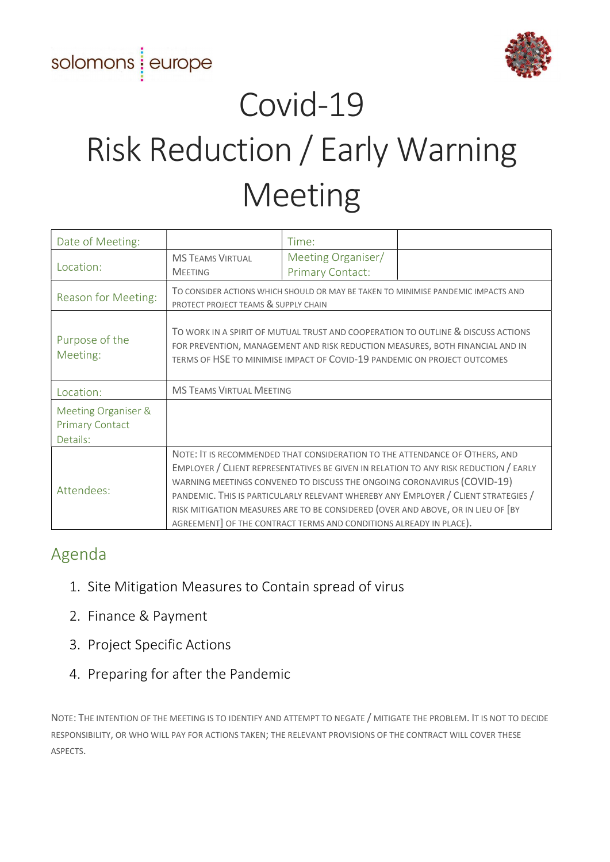# solomons europe



# Covid-19 Risk Reduction / Early Warning Meeting

| Date of Meeting:                                          |                                                                                                                                                                                                                                                                                                                                                                                                                                                                                                | Time:                                         |
|-----------------------------------------------------------|------------------------------------------------------------------------------------------------------------------------------------------------------------------------------------------------------------------------------------------------------------------------------------------------------------------------------------------------------------------------------------------------------------------------------------------------------------------------------------------------|-----------------------------------------------|
| Location:                                                 | <b>MS TEAMS VIRTUAL</b><br><b>MEETING</b>                                                                                                                                                                                                                                                                                                                                                                                                                                                      | Meeting Organiser/<br><b>Primary Contact:</b> |
| Reason for Meeting:                                       | TO CONSIDER ACTIONS WHICH SHOULD OR MAY BE TAKEN TO MINIMISE PANDEMIC IMPACTS AND<br>PROTECT PROJECT TEAMS & SUPPLY CHAIN                                                                                                                                                                                                                                                                                                                                                                      |                                               |
| Purpose of the<br>Meeting:                                | TO WORK IN A SPIRIT OF MUTUAL TRUST AND COOPERATION TO OUTLINE & DISCUSS ACTIONS<br>FOR PREVENTION, MANAGEMENT AND RISK REDUCTION MEASURES, BOTH FINANCIAL AND IN<br>TERMS OF HSE TO MINIMISE IMPACT OF COVID-19 PANDEMIC ON PROJECT OUTCOMES                                                                                                                                                                                                                                                  |                                               |
| Location:                                                 | <b>MS TEAMS VIRTUAL MEETING</b>                                                                                                                                                                                                                                                                                                                                                                                                                                                                |                                               |
| Meeting Organiser &<br><b>Primary Contact</b><br>Details: |                                                                                                                                                                                                                                                                                                                                                                                                                                                                                                |                                               |
| Attendees:                                                | NOTE: IT IS RECOMMENDED THAT CONSIDERATION TO THE ATTENDANCE OF OTHERS, AND<br>EMPLOYER / CLIENT REPRESENTATIVES BE GIVEN IN RELATION TO ANY RISK REDUCTION / EARLY<br>WARNING MEETINGS CONVENED TO DISCUSS THE ONGOING CORONAVIRUS (COVID-19)<br>PANDEMIC. THIS IS PARTICULARLY RELEVANT WHEREBY ANY EMPLOYER / CLIENT STRATEGIES /<br>RISK MITIGATION MEASURES ARE TO BE CONSIDERED (OVER AND ABOVE, OR IN LIEU OF [BY<br>AGREEMENT] OF THE CONTRACT TERMS AND CONDITIONS ALREADY IN PLACE). |                                               |

## Agenda

- 1. Site Mitigation Measures to Contain spread of virus
- 2. Finance & Payment
- 3. Project Specific Actions
- 4. Preparing for after the Pandemic

NOTE: THE INTENTION OF THE MEETING IS TO IDENTIFY AND ATTEMPT TO NEGATE / MITIGATE THE PROBLEM. IT IS NOT TO DECIDE RESPONSIBILITY, OR WHO WILL PAY FOR ACTIONS TAKEN; THE RELEVANT PROVISIONS OF THE CONTRACT WILL COVER THESE ASPECTS.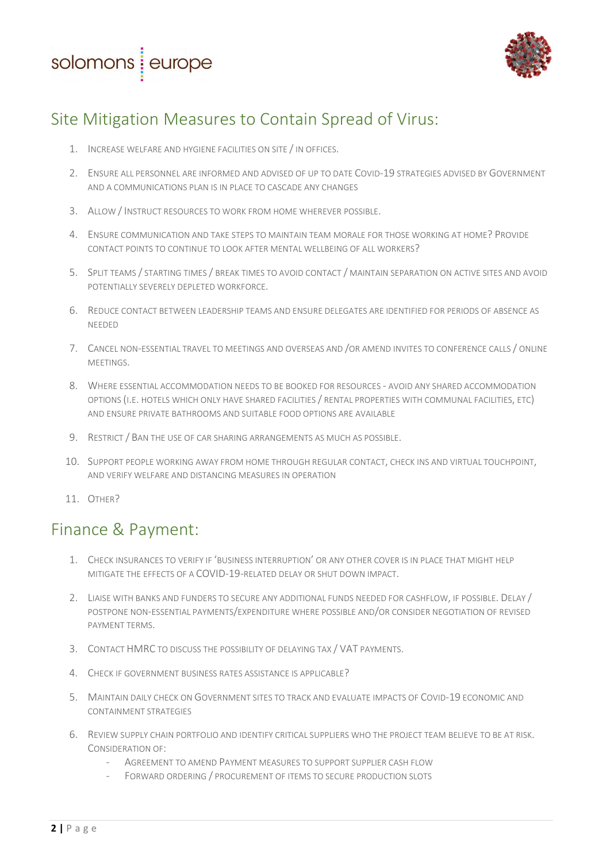



# Site Mitigation Measures to Contain Spread of Virus:

- 1. INCREASE WELFARE AND HYGIENE FACILITIES ON SITE / IN OFFICES.
- 2. ENSURE ALL PERSONNEL ARE INFORMED AND ADVISED OF UP TO DATE COVID-19 STRATEGIES ADVISED BY GOVERNMENT AND A COMMUNICATIONS PLAN IS IN PLACE TO CASCADE ANY CHANGES
- 3. ALLOW / INSTRUCT RESOURCES TO WORK FROM HOME WHEREVER POSSIBLE.
- 4. ENSURE COMMUNICATION AND TAKE STEPS TO MAINTAIN TEAM MORALE FOR THOSE WORKING AT HOME? PROVIDE CONTACT POINTS TO CONTINUE TO LOOK AFTER MENTAL WELLBEING OF ALL WORKERS?
- 5. SPLIT TEAMS / STARTING TIMES / BREAK TIMES TO AVOID CONTACT / MAINTAIN SEPARATION ON ACTIVE SITES AND AVOID POTENTIALLY SEVERELY DEPLETED WORKFORCE.
- 6. REDUCE CONTACT BETWEEN LEADERSHIP TEAMS AND ENSURE DELEGATES ARE IDENTIFIED FOR PERIODS OF ABSENCE AS NEEDED
- 7. CANCEL NON-ESSENTIAL TRAVEL TO MEETINGS AND OVERSEAS AND /OR AMEND INVITES TO CONFERENCE CALLS / ONLINE MEETINGS.
- 8. WHERE ESSENTIAL ACCOMMODATION NEEDS TO BE BOOKED FOR RESOURCES AVOID ANY SHARED ACCOMMODATION OPTIONS (I.E. HOTELS WHICH ONLY HAVE SHARED FACILITIES / RENTAL PROPERTIES WITH COMMUNAL FACILITIES, ETC) AND ENSURE PRIVATE BATHROOMS AND SUITABLE FOOD OPTIONS ARE AVAILABLE
- 9. RESTRICT / BAN THE USE OF CAR SHARING ARRANGEMENTS AS MUCH AS POSSIBLE.
- 10. SUPPORT PEOPLE WORKING AWAY FROM HOME THROUGH REGULAR CONTACT, CHECK INS AND VIRTUAL TOUCHPOINT, AND VERIFY WELFARE AND DISTANCING MEASURES IN OPERATION
- 11. OTHER?

#### Finance & Payment:

- 1. CHECK INSURANCES TO VERIFY IF 'BUSINESS INTERRUPTION' OR ANY OTHER COVER IS IN PLACE THAT MIGHT HELP MITIGATE THE EFFECTS OF A COVID-19-RELATED DELAY OR SHUT DOWN IMPACT.
- 2. LIAISE WITH BANKS AND FUNDERS TO SECURE ANY ADDITIONAL FUNDS NEEDED FOR CASHFLOW, IF POSSIBLE. DELAY / POSTPONE NON-ESSENTIAL PAYMENTS/EXPENDITURE WHERE POSSIBLE AND/OR CONSIDER NEGOTIATION OF REVISED PAYMENT TERMS.
- 3. CONTACT HMRC TO DISCUSS THE POSSIBILITY OF DELAYING TAX / VAT PAYMENTS.
- 4. CHECK IF GOVERNMENT BUSINESS RATES ASSISTANCE IS APPLICABLE?
- 5. MAINTAIN DAILY CHECK ON GOVERNMENT SITES TO TRACK AND EVALUATE IMPACTS OF COVID-19 ECONOMIC AND CONTAINMENT STRATEGIES
- 6. REVIEW SUPPLY CHAIN PORTFOLIO AND IDENTIFY CRITICAL SUPPLIERS WHO THE PROJECT TEAM BELIEVE TO BE AT RISK. CONSIDERATION OF:
	- AGREEMENT TO AMEND PAYMENT MEASURES TO SUPPORT SUPPLIER CASH FLOW
	- FORWARD ORDERING / PROCUREMENT OF ITEMS TO SECURE PRODUCTION SLOTS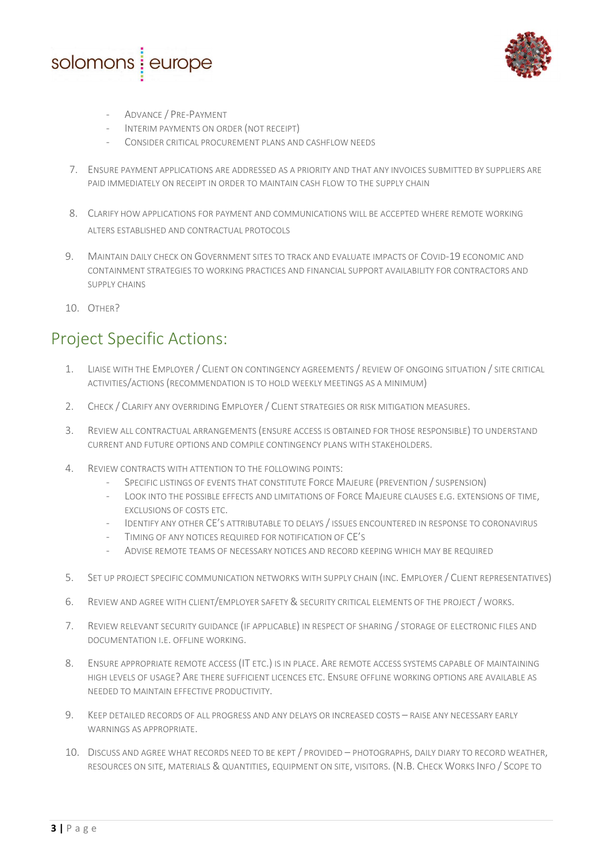



- ADVANCE / PRE-PAYMENT
- INTERIM PAYMENTS ON ORDER (NOT RECEIPT)
- CONSIDER CRITICAL PROCUREMENT PLANS AND CASHFLOW NEEDS
- 7. ENSURE PAYMENT APPLICATIONS ARE ADDRESSED AS A PRIORITY AND THAT ANY INVOICES SUBMITTED BY SUPPLIERS ARE PAID IMMEDIATELY ON RECEIPT IN ORDER TO MAINTAIN CASH FLOW TO THE SUPPLY CHAIN
- 8. CLARIFY HOW APPLICATIONS FOR PAYMENT AND COMMUNICATIONS WILL BE ACCEPTED WHERE REMOTE WORKING ALTERS ESTABLISHED AND CONTRACTUAL PROTOCOLS
- 9. MAINTAIN DAILY CHECK ON GOVERNMENT SITES TO TRACK AND EVALUATE IMPACTS OF COVID-19 ECONOMIC AND CONTAINMENT STRATEGIES TO WORKING PRACTICES AND FINANCIAL SUPPORT AVAILABILITY FOR CONTRACTORS AND SUPPLY CHAINS
- 10. OTHER?

# Project Specific Actions:

- 1. LIAISE WITH THE EMPLOYER / CLIENT ON CONTINGENCY AGREEMENTS / REVIEW OF ONGOING SITUATION / SITE CRITICAL ACTIVITIES/ACTIONS (RECOMMENDATION IS TO HOLD WEEKLY MEETINGS AS A MINIMUM)
- 2. CHECK / CLARIFY ANY OVERRIDING EMPLOYER / CLIENT STRATEGIES OR RISK MITIGATION MEASURES.
- 3. REVIEW ALL CONTRACTUAL ARRANGEMENTS (ENSURE ACCESS IS OBTAINED FOR THOSE RESPONSIBLE) TO UNDERSTAND CURRENT AND FUTURE OPTIONS AND COMPILE CONTINGENCY PLANS WITH STAKEHOLDERS.
- 4. REVIEW CONTRACTS WITH ATTENTION TO THE FOLLOWING POINTS:
	- SPECIFIC LISTINGS OF EVENTS THAT CONSTITUTE FORCE MAJEURE (PREVENTION / SUSPENSION)
	- LOOK INTO THE POSSIBLE EFFECTS AND LIMITATIONS OF FORCE MAJEURE CLAUSES E.G. EXTENSIONS OF TIME, EXCLUSIONS OF COSTS ETC.
	- IDENTIFY ANY OTHER CE'S ATTRIBUTABLE TO DELAYS / ISSUES ENCOUNTERED IN RESPONSE TO CORONAVIRUS
	- TIMING OF ANY NOTICES REQUIRED FOR NOTIFICATION OF CE'S
	- ADVISE REMOTE TEAMS OF NECESSARY NOTICES AND RECORD KEEPING WHICH MAY BE REQUIRED
- 5. SET UP PROJECT SPECIFIC COMMUNICATION NETWORKS WITH SUPPLY CHAIN (INC. EMPLOYER / CLIENT REPRESENTATIVES)
- 6. REVIEW AND AGREE WITH CLIENT/EMPLOYER SAFETY & SECURITY CRITICAL ELEMENTS OF THE PROJECT / WORKS.
- 7. REVIEW RELEVANT SECURITY GUIDANCE (IF APPLICABLE) IN RESPECT OF SHARING / STORAGE OF ELECTRONIC FILES AND DOCUMENTATION I.E. OFFLINE WORKING.
- 8. ENSURE APPROPRIATE REMOTE ACCESS (IT ETC.) IS IN PLACE. ARE REMOTE ACCESS SYSTEMS CAPABLE OF MAINTAINING HIGH LEVELS OF USAGE? ARE THERE SUFFICIENT LICENCES ETC. ENSURE OFFLINE WORKING OPTIONS ARE AVAILABLE AS NEEDED TO MAINTAIN EFFECTIVE PRODUCTIVITY.
- 9. KEEP DETAILED RECORDS OF ALL PROGRESS AND ANY DELAYS OR INCREASED COSTS RAISE ANY NECESSARY EARLY WARNINGS AS APPROPRIATE.
- 10. DISCUSS AND AGREE WHAT RECORDS NEED TO BE KEPT / PROVIDED PHOTOGRAPHS, DAILY DIARY TO RECORD WEATHER, RESOURCES ON SITE, MATERIALS & QUANTITIES, EQUIPMENT ON SITE, VISITORS. (N.B. CHECK WORKS INFO / SCOPE TO